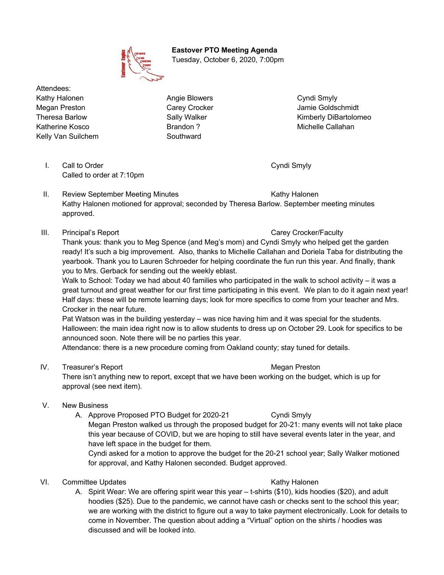**Eastover PTO Meeting Agenda** Tuesday, October 6, 2020, 7:00pm

Attendees: Kathy Halonen **Angie Blowers** Cyndi Smyly Megan Preston **Carey Crocker** Carey Crocker Jamie Goldschmidt Theresa Barlow **Sally Walker Communist Communist Communist Communist Communist Communist Communist Communist Communist Communist Communist Communist Communist Communist Communist Communist Communist Communist Communist Com** Katherine Kosco **Brandon ?** Brandon ? Michelle Callahan Kelly Van Suilchem Southward

I. Call to Order Cyndi Smyly Cyndi Smyly Called to order at 7:10pm

- II. Review September Meeting Minutes **Kathy Halonen** Kathy Halonen Kathy Halonen motioned for approval; seconded by Theresa Barlow. September meeting minutes approved.
- III. Principal's Report Carey Crocker/Faculty

Thank yous: thank you to Meg Spence (and Meg's mom) and Cyndi Smyly who helped get the garden ready! It's such a big improvement. Also, thanks to Michelle Callahan and Doriela Taba for distributing the yearbook. Thank you to Lauren Schroeder for helping coordinate the fun run this year. And finally, thank you to Mrs. Gerback for sending out the weekly eblast.

Walk to School: Today we had about 40 families who participated in the walk to school activity – it was a great turnout and great weather for our first time participating in this event. We plan to do it again next year! Half days: these will be remote learning days; look for more specifics to come from your teacher and Mrs. Crocker in the near future.

Pat Watson was in the building yesterday – was nice having him and it was special for the students. Halloween: the main idea right now is to allow students to dress up on October 29. Look for specifics to be announced soon. Note there will be no parties this year.

Attendance: there is a new procedure coming from Oakland county; stay tuned for details.

IV. Treasurer's Report **Megan Preston** Megan Preston

There isn't anything new to report, except that we have been working on the budget, which is up for approval (see next item).

- V. New Business
	- A. Approve Proposed PTO Budget for 2020-21 Cyndi Smyly

Megan Preston walked us through the proposed budget for 20-21: many events will not take place this year because of COVID, but we are hoping to still have several events later in the year, and have left space in the budget for them.

Cyndi asked for a motion to approve the budget for the 20-21 school year; Sally Walker motioned for approval, and Kathy Halonen seconded. Budget approved.

- VI. Committee Updates **Kathy Halonen** Kathy Halonen
	- A. Spirit Wear: We are offering spirit wear this year t-shirts (\$10), kids hoodies (\$20), and adult hoodies (\$25). Due to the pandemic, we cannot have cash or checks sent to the school this year; we are working with the district to figure out a way to take payment electronically. Look for details to come in November. The question about adding a "Virtual" option on the shirts / hoodies was discussed and will be looked into.